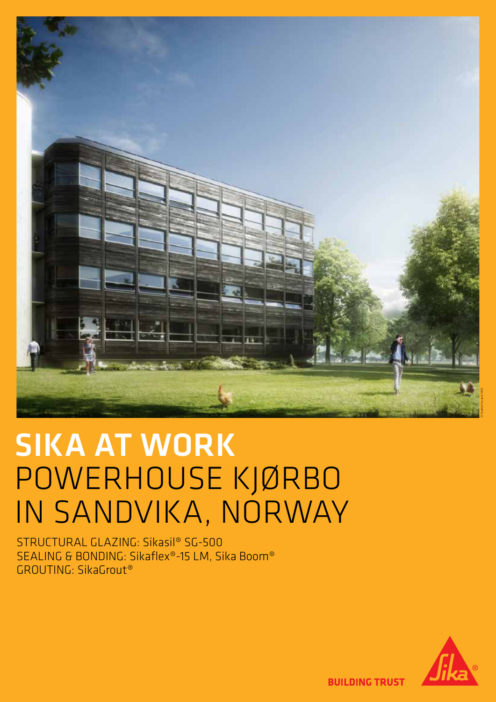

### SIKA AT WORK POWERHOUSE KJØRBO IN SANDVIKA, NORWAY POWERHOUSE KJØRBO

STRUCTURAL GLAZING: Sikasil® SG-500 SEALING & BONDING: Sikaflex®-15 LM, Sika Boom® GROUTING: SikaGrout®



**BUILDING TRUST**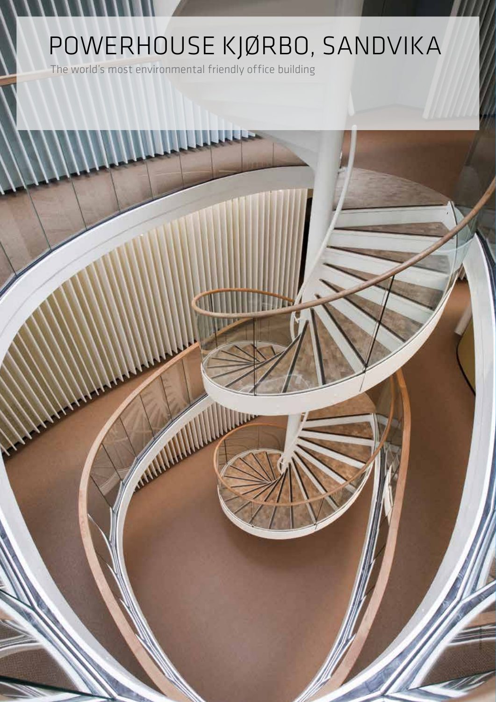# POWERHOUSE KJØRBO, SANDVIKA

*IIIII* 

**ANTIFACTION** 

E.

© Ketil Jacobsen

The world's most environmental friendly office building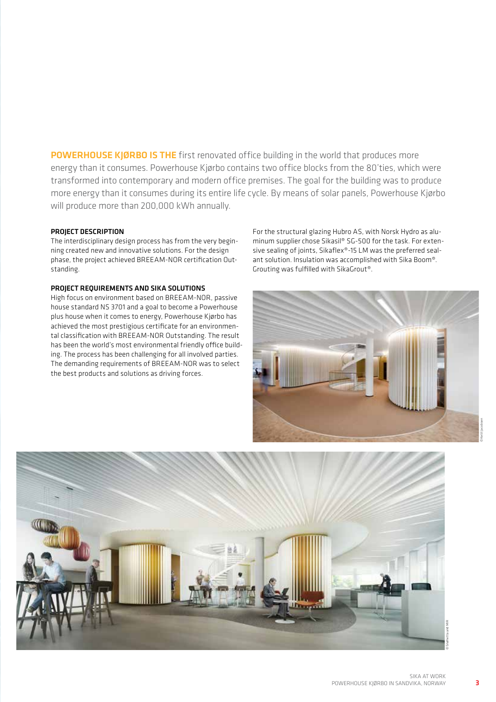POWERHOUSE KJØRBO IS THE first renovated office building in the world that produces more energy than it consumes. Powerhouse Kjørbo contains two office blocks from the 80'ties, which were transformed into contemporary and modern office premises. The goal for the building was to produce more energy than it consumes during its entire life cycle. By means of solar panels, Powerhouse Kjørbo will produce more than 200,000 kWh annually.

#### PROJECT DESCRIPTION

The interdisciplinary design process has from the very beginning created new and innovative solutions. For the design phase, the project achieved BREEAM-NOR certification Outstanding.

### PROJECT REQUIREMENTS AND SIKA SOLUTIONS

High focus on environment based on BREEAM-NOR, passive house standard NS 3701 and a goal to become a Powerhouse plus house when it comes to energy, Powerhouse Kjørbo has achieved the most prestigious certificate for an environmental classification with BREEAM-NOR Outstanding. The result has been the world's most environmental friendly office building. The process has been challenging for all involved parties. The demanding requirements of BREEAM-NOR was to select the best products and solutions as driving forces.

For the structural glazing Hubro AS, with Norsk Hydro as aluminum supplier chose Sikasil® SG-500 for the task. For extensive sealing of joints, Sikaflex®-15 LM was the preferred sealant solution. Insulation was accomplished with Sika Boom®. Grouting was fulfilled with SikaGrout®.





3